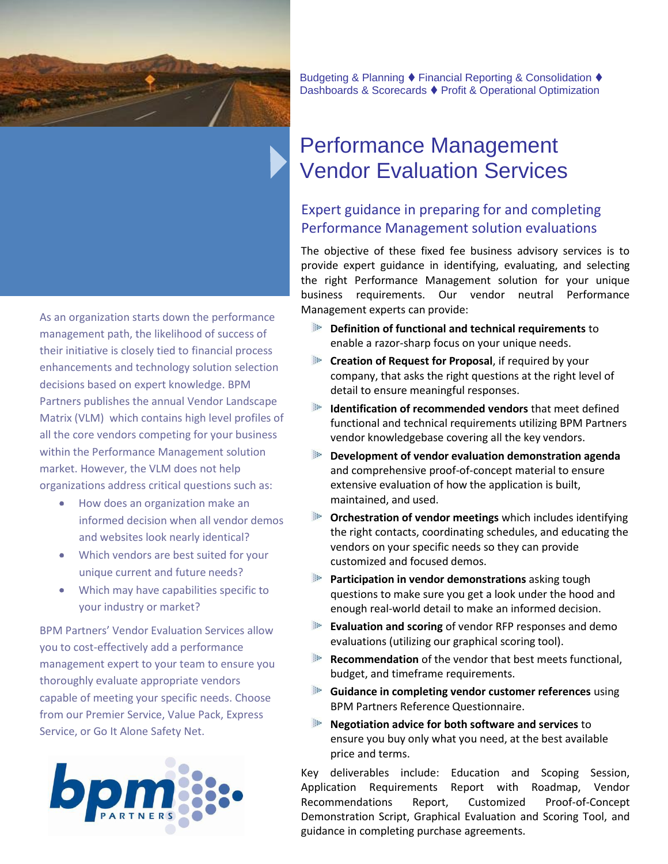

As an organization starts down the performance management path, the likelihood of success of their initiative is closely tied to financial process enhancements and technology solution selection decisions based on expert knowledge. BPM Partners publishes the annual Vendor Landscape Matrix (VLM) which contains high level profiles of all the core vendors competing for your business within the Performance Management solution market. However, the VLM does not help organizations address critical questions such as:

- $\bullet$  How does an organization make an informed decision when all vendor demos and websites look nearly identical?
- Which vendors are best suited for your unique current and future needs?
- Which may have capabilities specific to your industry or market?

BPM Partners' Vendor Evaluation Services allow you to cost-effectively add a performance management expert to your team to ensure you thoroughly evaluate appropriate vendors capable of meeting your specific needs. Choose from our Premier Service, Value Pack, Express Service, or Go It Alone Safety Net.



Budgeting & Planning ♦ Financial Reporting & Consolidation ♦ Dashboards & Scorecards ♦ Profit & Operational Optimization

## Performance Management Vendor Evaluation Services

## Expert guidance in preparing for and completing Performance Management solution evaluations

The objective of these fixed fee business advisory services is to provide expert guidance in identifying, evaluating, and selecting the right Performance Management solution for your unique business requirements. Our vendor neutral Performance Management experts can provide:

- **Definition of functional and technical requirements** to enable a razor-sharp focus on your unique needs.
- **Creation of Request for Proposal**, if required by your company, that asks the right questions at the right level of detail to ensure meaningful responses.
- **Identification of recommended vendors** that meet defined functional and technical requirements utilizing BPM Partners vendor knowledgebase covering all the key vendors.
- **Development of vendor evaluation demonstration agenda**  and comprehensive proof-of-concept material to ensure extensive evaluation of how the application is built, maintained, and used.
- **Orchestration of vendor meetings** which includes identifying the right contacts, coordinating schedules, and educating the vendors on your specific needs so they can provide customized and focused demos.
- **Participation in vendor demonstrations** asking tough questions to make sure you get a look under the hood and enough real-world detail to make an informed decision.
- **Evaluation and scoring** of vendor RFP responses and demo evaluations (utilizing our graphical scoring tool).
- **Recommendation** of the vendor that best meets functional, budget, and timeframe requirements.
- **Guidance in completing vendor customer references** using BPM Partners Reference Questionnaire.
- **Negotiation advice for both software and services** to ensure you buy only what you need, at the best available price and terms.

Key deliverables include: Education and Scoping Session, Application Requirements Report with Roadmap, Vendor Recommendations Report, Customized Proof-of-Concept Demonstration Script, Graphical Evaluation and Scoring Tool, and guidance in completing purchase agreements.